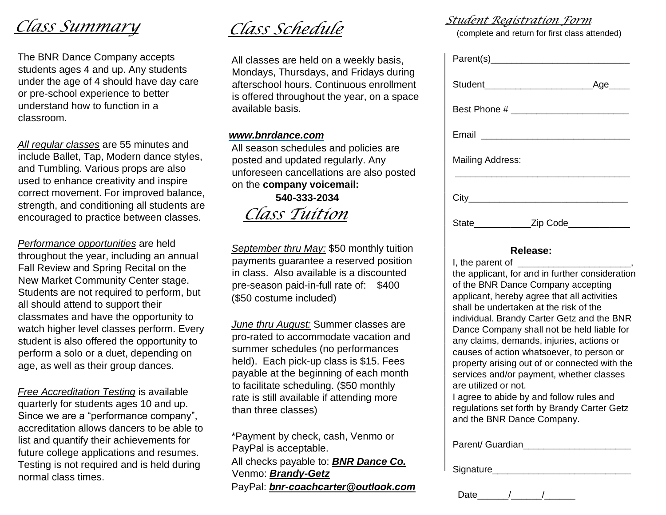*Class Summary* 

The BNR Dance Company accepts students ages 4 and up. Any students under the age of 4 should have day care or pre-school experience to better understand how to function in a classroom.

*All regular classes* are 55 minutes and include Ballet, Tap, Modern dance styles, and Tumbling. Various props are also used to enhance creativity and inspire correct movement. For improved balance, strength, and conditioning all students are encouraged to practice between classes.

*Performance opportunities* are held throughout the year, including an annual Fall Review and Spring Recital on the New Market Community Center stage. Students are not required to perform, but all should attend to support their classmates and have the opportunity to watch higher level classes perform. Every student is also offered the opportunity to perform a solo or a duet, depending on age, as well as their group dances.

*Free Accreditation Testing* is available quarterly for students ages 10 and up. Since we are a "performance company", accreditation allows dancers to be able to list and quantify their achievements for future college applications and resumes. Testing is not required and is held during normal class times.

*Class Schedule* 

All classes are held on a weekly basis, Mondays, Thursdays, and Fridays during afterschool hours. Continuous enrollment is offered throughout the year, on a space available basis.

## *www.bnrdance.com*

All season schedules and policies are posted and updated regularly. Any unforeseen cancellations are also posted on the **company voicemail:** 

 **540-333-2034** *Class Tuition* 

*September thru May:* \$50 monthly tuition payments guarantee a reserved position in class. Also available is a discounted pre-season paid-in-full rate of: \$400 (\$50 costume included)

*June thru August:* Summer classes are pro-rated to accommodate vacation and summer schedules (no performances held). Each pick-up class is \$15. Fees payable at the beginning of each month to facilitate scheduling. (\$50 monthly rate is still available if attending more than three classes)

\*Payment by check, cash, Venmo or PayPal is acceptable. All checks payable to: *BNR Dance Co.* Venmo: *Brandy-Getz* PayPal: *bnr-coachcarter@outlook.com*

## *Student Registration Form*

(complete and return for first class attended)

| Student_______________________<br>_Age_____                                                                                                                                                                                                                                                                                                                                                                                                                                                                                                                                                                                                                         |
|---------------------------------------------------------------------------------------------------------------------------------------------------------------------------------------------------------------------------------------------------------------------------------------------------------------------------------------------------------------------------------------------------------------------------------------------------------------------------------------------------------------------------------------------------------------------------------------------------------------------------------------------------------------------|
|                                                                                                                                                                                                                                                                                                                                                                                                                                                                                                                                                                                                                                                                     |
|                                                                                                                                                                                                                                                                                                                                                                                                                                                                                                                                                                                                                                                                     |
| <b>Mailing Address:</b>                                                                                                                                                                                                                                                                                                                                                                                                                                                                                                                                                                                                                                             |
|                                                                                                                                                                                                                                                                                                                                                                                                                                                                                                                                                                                                                                                                     |
| State________________Zip Code______________                                                                                                                                                                                                                                                                                                                                                                                                                                                                                                                                                                                                                         |
| Release:<br>I, the parent of ________________<br>the applicant, for and in further consideration<br>of the BNR Dance Company accepting<br>applicant, hereby agree that all activities<br>shall be undertaken at the risk of the<br>individual. Brandy Carter Getz and the BNR<br>Dance Company shall not be held liable for<br>any claims, demands, injuries, actions or<br>causes of action whatsoever, to person or<br>property arising out of or connected with the<br>services and/or payment, whether classes<br>are utilized or not.<br>I agree to abide by and follow rules and<br>regulations set forth by Brandy Carter Getz<br>and the BNR Dance Company. |
| Parent/ Guardian <b>Exercise Servers</b>                                                                                                                                                                                                                                                                                                                                                                                                                                                                                                                                                                                                                            |
| Signature____________________________                                                                                                                                                                                                                                                                                                                                                                                                                                                                                                                                                                                                                               |

Date